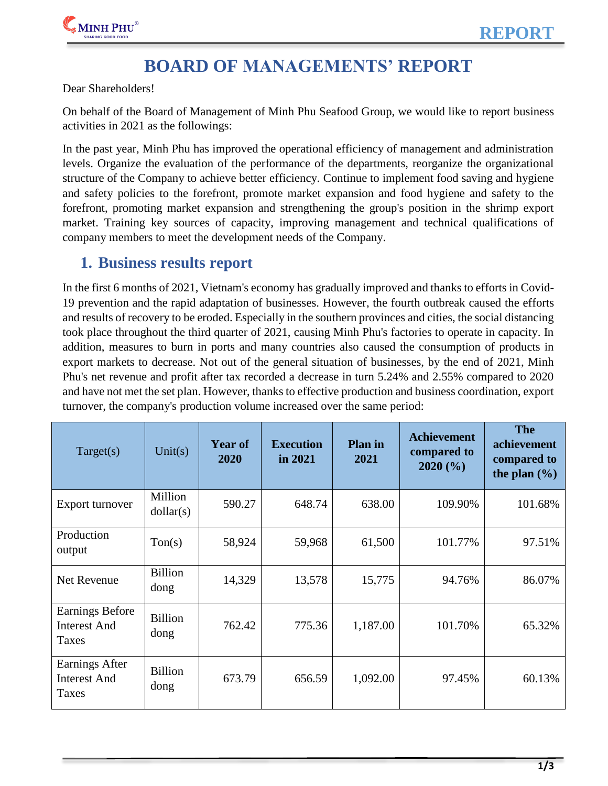

# **BOARD OF MANAGEMENTS' REPORT**

Dear Shareholders!

On behalf of the Board of Management of Minh Phu Seafood Group, we would like to report business activities in 2021 as the followings:

In the past year, Minh Phu has improved the operational efficiency of management and administration levels. Organize the evaluation of the performance of the departments, reorganize the organizational structure of the Company to achieve better efficiency. Continue to implement food saving and hygiene and safety policies to the forefront, promote market expansion and food hygiene and safety to the forefront, promoting market expansion and strengthening the group's position in the shrimp export market. Training key sources of capacity, improving management and technical qualifications of company members to meet the development needs of the Company.

### **1. Business results report**

In the first 6 months of 2021, Vietnam's economy has gradually improved and thanks to efforts in Covid-19 prevention and the rapid adaptation of businesses. However, the fourth outbreak caused the efforts and results of recovery to be eroded. Especially in the southern provinces and cities, the social distancing took place throughout the third quarter of 2021, causing Minh Phu's factories to operate in capacity. In addition, measures to burn in ports and many countries also caused the consumption of products in export markets to decrease. Not out of the general situation of businesses, by the end of 2021, Minh Phu's net revenue and profit after tax recorded a decrease in turn 5.24% and 2.55% compared to 2020 and have not met the set plan. However, thanks to effective production and business coordination, export turnover, the company's production volume increased over the same period:

| Target(s)                                              | Unit(s)                | <b>Year of</b><br>2020 | <b>Execution</b><br>in 2021 | <b>Plan</b> in<br>2021 | <b>Achievement</b><br>compared to<br>2020(%) | <b>The</b><br>achievement<br>compared to<br>the plan $(\% )$ |
|--------------------------------------------------------|------------------------|------------------------|-----------------------------|------------------------|----------------------------------------------|--------------------------------------------------------------|
| Export turnover                                        | Million<br>dollar(s)   | 590.27                 | 648.74                      | 638.00                 | 109.90%                                      | 101.68%                                                      |
| Production<br>output                                   | T <sub>on(s)</sub>     | 58,924                 | 59,968                      | 61,500                 | 101.77%                                      | 97.51%                                                       |
| Net Revenue                                            | <b>Billion</b><br>dong | 14,329                 | 13,578                      | 15,775                 | 94.76%                                       | 86.07%                                                       |
| <b>Earnings Before</b><br><b>Interest And</b><br>Taxes | <b>Billion</b><br>dong | 762.42                 | 775.36                      | 1,187.00               | 101.70%                                      | 65.32%                                                       |
| Earnings After<br><b>Interest And</b><br>Taxes         | <b>Billion</b><br>dong | 673.79                 | 656.59                      | 1,092.00               | 97.45%                                       | 60.13%                                                       |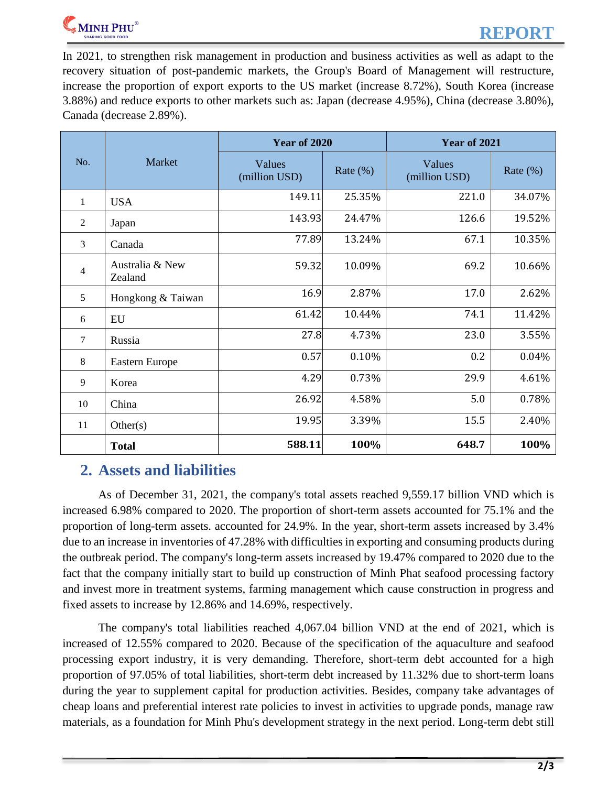

In 2021, to strengthen risk management in production and business activities as well as adapt to the recovery situation of post-pandemic markets, the Group's Board of Management will restructure, increase the proportion of export exports to the US market (increase 8.72%), South Korea (increase 3.88%) and reduce exports to other markets such as: Japan (decrease 4.95%), China (decrease 3.80%), Canada (decrease 2.89%).

|                |                            | <b>Year of 2020</b>     |              | <b>Year of 2021</b>     |             |
|----------------|----------------------------|-------------------------|--------------|-------------------------|-------------|
| No.            | Market                     | Values<br>(million USD) | Rate $(\% )$ | Values<br>(million USD) | Rate $(\%)$ |
| $\mathbf{1}$   | <b>USA</b>                 | 149.11                  | 25.35%       | 221.0                   | 34.07%      |
| $\overline{2}$ | Japan                      | 143.93                  | 24.47%       | 126.6                   | 19.52%      |
| 3              | Canada                     | 77.89                   | 13.24%       | 67.1                    | 10.35%      |
| $\overline{4}$ | Australia & New<br>Zealand | 59.32                   | 10.09%       | 69.2                    | 10.66%      |
| 5              | Hongkong & Taiwan          | 16.9                    | 2.87%        | 17.0                    | 2.62%       |
| 6              | EU                         | 61.42                   | 10.44%       | 74.1                    | 11.42%      |
| $\overline{7}$ | Russia                     | 27.8                    | 4.73%        | 23.0                    | 3.55%       |
| 8              | <b>Eastern Europe</b>      | 0.57                    | 0.10%        | 0.2                     | 0.04%       |
| 9              | Korea                      | 4.29                    | 0.73%        | 29.9                    | 4.61%       |
| 10             | China                      | 26.92                   | 4.58%        | 5.0                     | 0.78%       |
| 11             | Other(s)                   | 19.95                   | 3.39%        | 15.5                    | 2.40%       |
|                | <b>Total</b>               | 588.11                  | 100%         | 648.7                   | 100%        |

### **2. Assets and liabilities**

As of December 31, 2021, the company's total assets reached 9,559.17 billion VND which is increased 6.98% compared to 2020. The proportion of short-term assets accounted for 75.1% and the proportion of long-term assets. accounted for 24.9%. In the year, short-term assets increased by 3.4% due to an increase in inventories of 47.28% with difficulties in exporting and consuming products during the outbreak period. The company's long-term assets increased by 19.47% compared to 2020 due to the fact that the company initially start to build up construction of Minh Phat seafood processing factory and invest more in treatment systems, farming management which cause construction in progress and fixed assets to increase by 12.86% and 14.69%, respectively.

The company's total liabilities reached 4,067.04 billion VND at the end of 2021, which is increased of 12.55% compared to 2020. Because of the specification of the aquaculture and seafood processing export industry, it is very demanding. Therefore, short-term debt accounted for a high proportion of 97.05% of total liabilities, short-term debt increased by 11.32% due to short-term loans during the year to supplement capital for production activities. Besides, company take advantages of cheap loans and preferential interest rate policies to invest in activities to upgrade ponds, manage raw materials, as a foundation for Minh Phu's development strategy in the next period. Long-term debt still